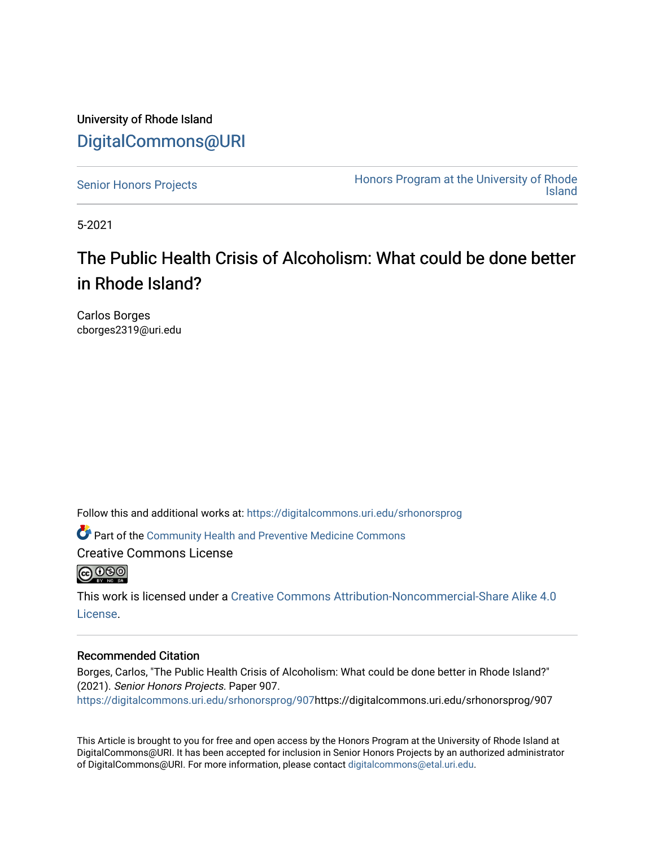University of Rhode Island [DigitalCommons@URI](https://digitalcommons.uri.edu/) 

[Senior Honors Projects](https://digitalcommons.uri.edu/srhonorsprog) **Honors Program at the University of Rhode**<br>Island [Island](https://digitalcommons.uri.edu/honors_prog) 

5-2021

# The Public Health Crisis of Alcoholism: What could be done better in Rhode Island?

Carlos Borges cborges2319@uri.edu

Follow this and additional works at: [https://digitalcommons.uri.edu/srhonorsprog](https://digitalcommons.uri.edu/srhonorsprog?utm_source=digitalcommons.uri.edu%2Fsrhonorsprog%2F907&utm_medium=PDF&utm_campaign=PDFCoverPages)

Part of the [Community Health and Preventive Medicine Commons](http://network.bepress.com/hgg/discipline/744?utm_source=digitalcommons.uri.edu%2Fsrhonorsprog%2F907&utm_medium=PDF&utm_campaign=PDFCoverPages)

Creative Commons License



This work is licensed under a [Creative Commons Attribution-Noncommercial-Share Alike 4.0](https://creativecommons.org/licenses/by-nc-sa/4.0/) [License.](https://creativecommons.org/licenses/by-nc-sa/4.0/)

#### Recommended Citation

Borges, Carlos, "The Public Health Crisis of Alcoholism: What could be done better in Rhode Island?" (2021). Senior Honors Projects. Paper 907. [https://digitalcommons.uri.edu/srhonorsprog/907](https://digitalcommons.uri.edu/srhonorsprog/907?utm_source=digitalcommons.uri.edu%2Fsrhonorsprog%2F907&utm_medium=PDF&utm_campaign=PDFCoverPages)https://digitalcommons.uri.edu/srhonorsprog/907

This Article is brought to you for free and open access by the Honors Program at the University of Rhode Island at DigitalCommons@URI. It has been accepted for inclusion in Senior Honors Projects by an authorized administrator of DigitalCommons@URI. For more information, please contact [digitalcommons@etal.uri.edu](mailto:digitalcommons@etal.uri.edu).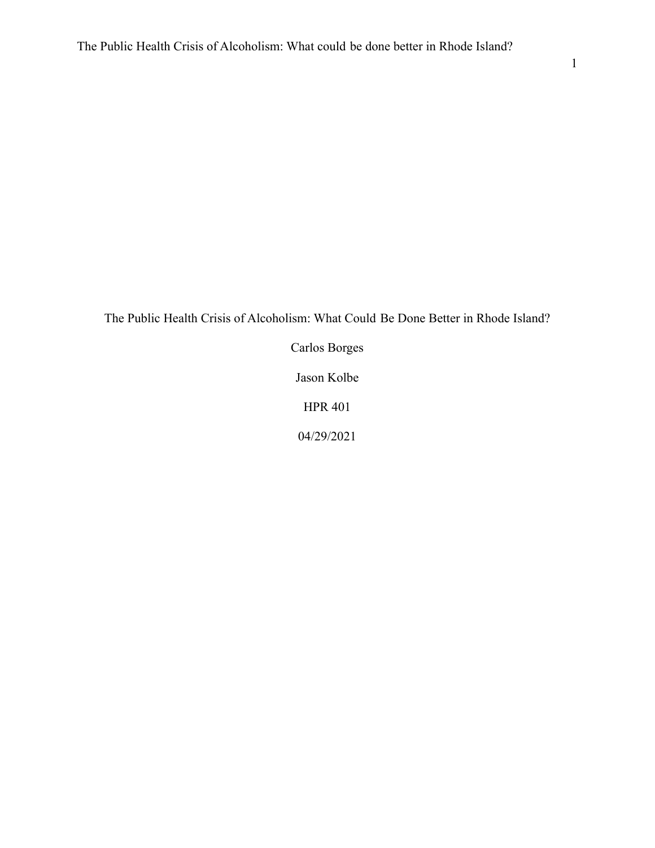The Public Health Crisis of Alcoholism: What Could Be Done Better in Rhode Island?

Carlos Borges Jason Kolbe HPR 401 04/29/2021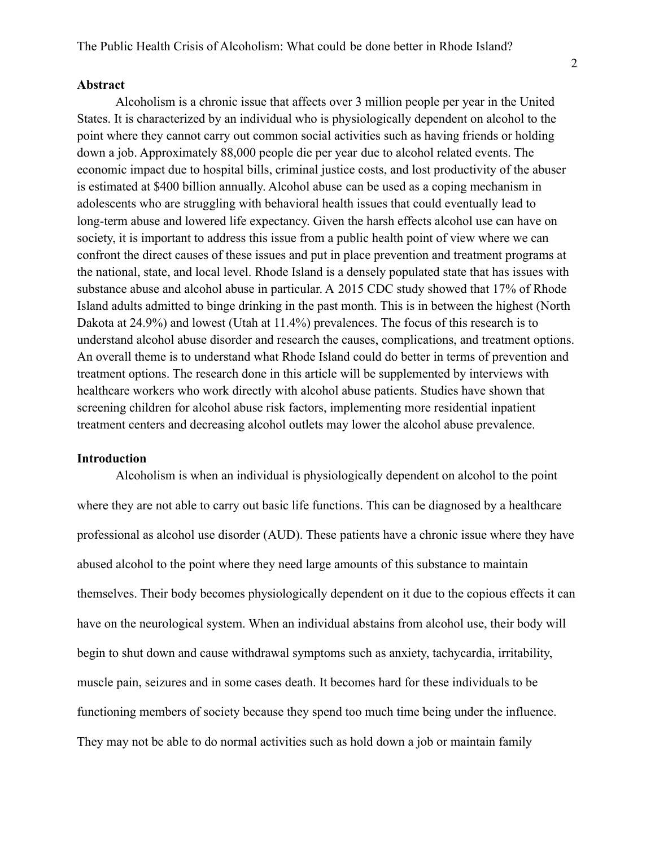#### **Abstract**

Alcoholism is a chronic issue that affects over 3 million people per year in the United States. It is characterized by an individual who is physiologically dependent on alcohol to the point where they cannot carry out common social activities such as having friends or holding down a job. Approximately 88,000 people die per year due to alcohol related events. The economic impact due to hospital bills, criminal justice costs, and lost productivity of the abuser is estimated at \$400 billion annually. Alcohol abuse can be used as a coping mechanism in adolescents who are struggling with behavioral health issues that could eventually lead to long-term abuse and lowered life expectancy. Given the harsh effects alcohol use can have on society, it is important to address this issue from a public health point of view where we can confront the direct causes of these issues and put in place prevention and treatment programs at the national, state, and local level. Rhode Island is a densely populated state that has issues with substance abuse and alcohol abuse in particular. A 2015 CDC study showed that 17% of Rhode Island adults admitted to binge drinking in the past month. This is in between the highest (North Dakota at 24.9%) and lowest (Utah at 11.4%) prevalences. The focus of this research is to understand alcohol abuse disorder and research the causes, complications, and treatment options. An overall theme is to understand what Rhode Island could do better in terms of prevention and treatment options. The research done in this article will be supplemented by interviews with healthcare workers who work directly with alcohol abuse patients. Studies have shown that screening children for alcohol abuse risk factors, implementing more residential inpatient treatment centers and decreasing alcohol outlets may lower the alcohol abuse prevalence.

#### **Introduction**

Alcoholism is when an individual is physiologically dependent on alcohol to the point where they are not able to carry out basic life functions. This can be diagnosed by a healthcare professional as alcohol use disorder (AUD). These patients have a chronic issue where they have abused alcohol to the point where they need large amounts of this substance to maintain themselves. Their body becomes physiologically dependent on it due to the copious effects it can have on the neurological system. When an individual abstains from alcohol use, their body will begin to shut down and cause withdrawal symptoms such as anxiety, tachycardia, irritability, muscle pain, seizures and in some cases death. It becomes hard for these individuals to be functioning members of society because they spend too much time being under the influence. They may not be able to do normal activities such as hold down a job or maintain family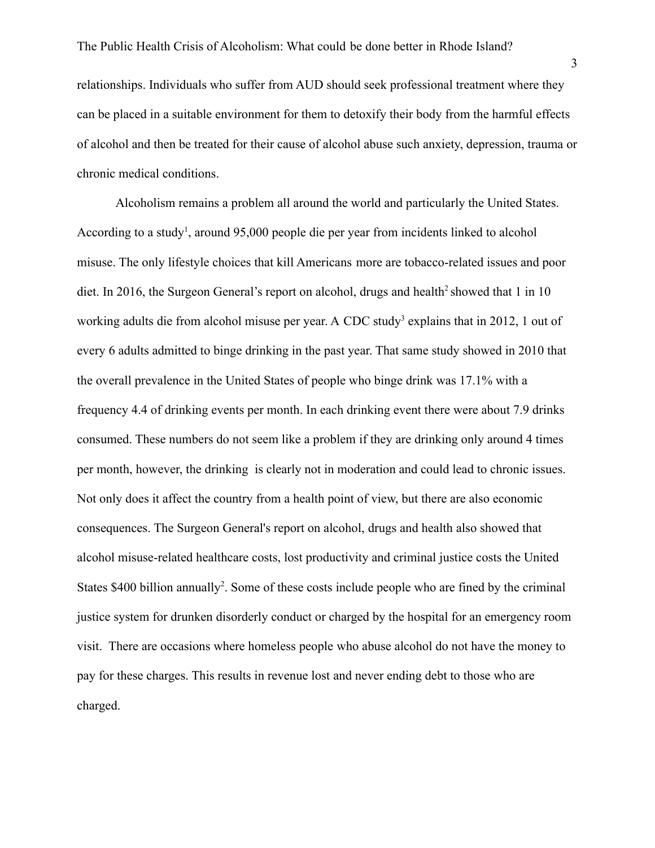relationships. Individuals who suffer from AUD should seek professional treatment where they can be placed in a suitable environment for them to detoxify their body from the harmful effects of alcohol and then be treated for their cause of alcohol abuse such anxiety, depression, trauma or chronic medical conditions.

Alcoholism remains a problem all around the world and particularly the United States. According to a study<sup>1</sup>, around 95,000 people die per year from incidents linked to alcohol misuse. The only lifestyle choices that kill Americans more are tobacco-related issues and poor diet. In 2016, the Surgeon General's report on alcohol, drugs and health<sup>2</sup> showed that 1 in 10 working adults die from alcohol misuse per year. A CDC study<sup>3</sup> explains that in 2012, 1 out of every 6 adults admitted to binge drinking in the past year. That same study showed in 2010 that the overall prevalence in the United States of people who binge drink was 17.1% with a frequency 4.4 of drinking events per month. In each drinking event there were about 7.9 drinks consumed. These numbers do not seem like a problem if they are drinking only around 4 times per month, however, the drinking is clearly not in moderation and could lead to chronic issues. Not only does it affect the country from a health point of view, but there are also economic consequences. The Surgeon General's report on alcohol, drugs and health also showed that alcohol misuse-related healthcare costs, lost productivity and criminal justice costs the United States \$400 billion annually<sup>2</sup>. Some of these costs include people who are fined by the criminal justice system for drunken disorderly conduct or charged by the hospital for an emergency room visit. There are occasions where homeless people who abuse alcohol do not have the money to pay for these charges. This results in revenue lost and never ending debt to those who are charged.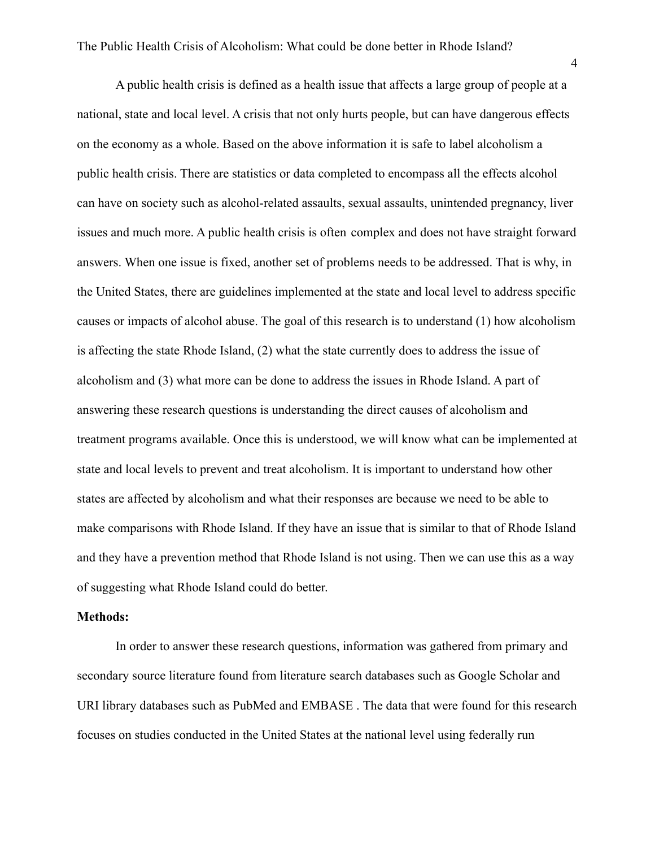A public health crisis is defined as a health issue that affects a large group of people at a national, state and local level. A crisis that not only hurts people, but can have dangerous effects on the economy as a whole. Based on the above information it is safe to label alcoholism a public health crisis. There are statistics or data completed to encompass all the effects alcohol can have on society such as alcohol-related assaults, sexual assaults, unintended pregnancy, liver issues and much more. A public health crisis is often complex and does not have straight forward answers. When one issue is fixed, another set of problems needs to be addressed. That is why, in the United States, there are guidelines implemented at the state and local level to address specific causes or impacts of alcohol abuse. The goal of this research is to understand (1) how alcoholism is affecting the state Rhode Island, (2) what the state currently does to address the issue of alcoholism and (3) what more can be done to address the issues in Rhode Island. A part of answering these research questions is understanding the direct causes of alcoholism and treatment programs available. Once this is understood, we will know what can be implemented at state and local levels to prevent and treat alcoholism. It is important to understand how other states are affected by alcoholism and what their responses are because we need to be able to make comparisons with Rhode Island. If they have an issue that is similar to that of Rhode Island and they have a prevention method that Rhode Island is not using. Then we can use this as a way of suggesting what Rhode Island could do better.

### **Methods:**

In order to answer these research questions, information was gathered from primary and secondary source literature found from literature search databases such as Google Scholar and URI library databases such as PubMed and EMBASE . The data that were found for this research focuses on studies conducted in the United States at the national level using federally run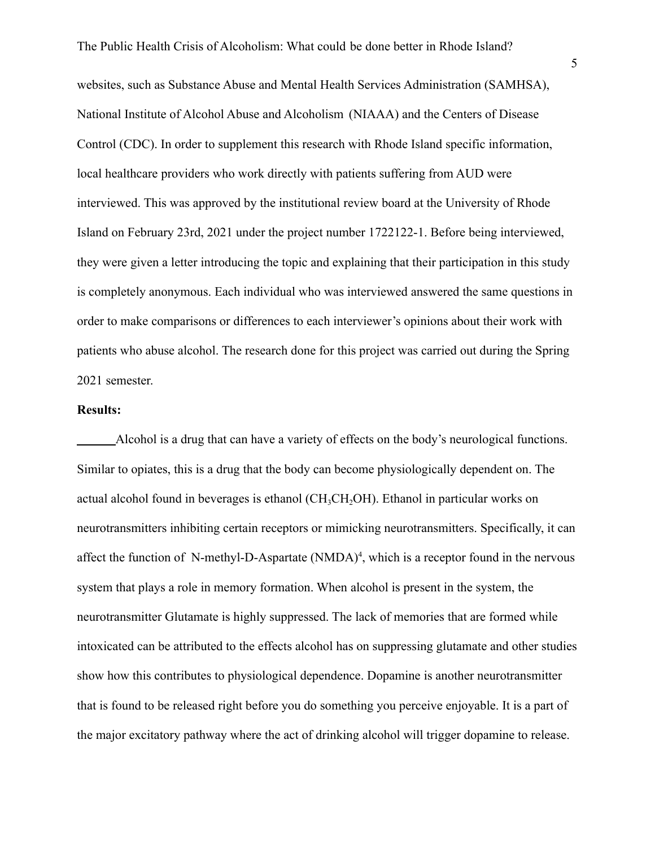websites, such as Substance Abuse and Mental Health Services Administration (SAMHSA), National Institute of Alcohol Abuse and Alcoholism (NIAAA) and the Centers of Disease Control (CDC). In order to supplement this research with Rhode Island specific information, local healthcare providers who work directly with patients suffering from AUD were interviewed. This was approved by the institutional review board at the University of Rhode Island on February 23rd, 2021 under the project number 1722122-1. Before being interviewed, they were given a letter introducing the topic and explaining that their participation in this study is completely anonymous. Each individual who was interviewed answered the same questions in order to make comparisons or differences to each interviewer's opinions about their work with patients who abuse alcohol. The research done for this project was carried out during the Spring 2021 semester.

## **Results:**

Alcohol is a drug that can have a variety of effects on the body's neurological functions. Similar to opiates, this is a drug that the body can become physiologically dependent on. The actual alcohol found in beverages is ethanol ( $CH_3CH_2OH$ ). Ethanol in particular works on neurotransmitters inhibiting certain receptors or mimicking neurotransmitters. Specifically, it can affect the function of N-methyl-D-Aspartate  $(NMDA)^4$ , which is a receptor found in the nervous system that plays a role in memory formation. When alcohol is present in the system, the neurotransmitter Glutamate is highly suppressed. The lack of memories that are formed while intoxicated can be attributed to the effects alcohol has on suppressing glutamate and other studies show how this contributes to physiological dependence. Dopamine is another neurotransmitter that is found to be released right before you do something you perceive enjoyable. It is a part of the major excitatory pathway where the act of drinking alcohol will trigger dopamine to release.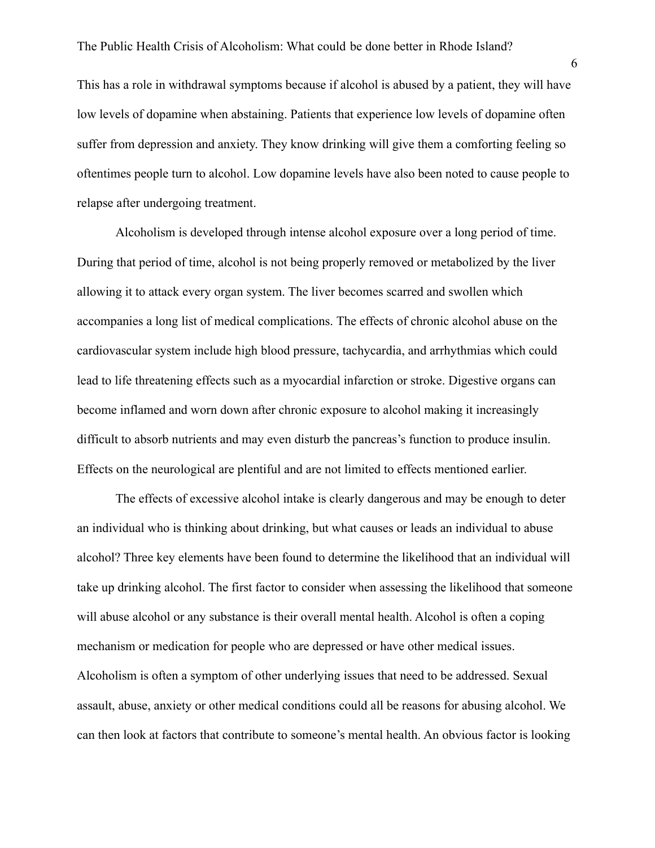This has a role in withdrawal symptoms because if alcohol is abused by a patient, they will have low levels of dopamine when abstaining. Patients that experience low levels of dopamine often suffer from depression and anxiety. They know drinking will give them a comforting feeling so oftentimes people turn to alcohol. Low dopamine levels have also been noted to cause people to relapse after undergoing treatment.

Alcoholism is developed through intense alcohol exposure over a long period of time. During that period of time, alcohol is not being properly removed or metabolized by the liver allowing it to attack every organ system. The liver becomes scarred and swollen which accompanies a long list of medical complications. The effects of chronic alcohol abuse on the cardiovascular system include high blood pressure, tachycardia, and arrhythmias which could lead to life threatening effects such as a myocardial infarction or stroke. Digestive organs can become inflamed and worn down after chronic exposure to alcohol making it increasingly difficult to absorb nutrients and may even disturb the pancreas's function to produce insulin. Effects on the neurological are plentiful and are not limited to effects mentioned earlier.

The effects of excessive alcohol intake is clearly dangerous and may be enough to deter an individual who is thinking about drinking, but what causes or leads an individual to abuse alcohol? Three key elements have been found to determine the likelihood that an individual will take up drinking alcohol. The first factor to consider when assessing the likelihood that someone will abuse alcohol or any substance is their overall mental health. Alcohol is often a coping mechanism or medication for people who are depressed or have other medical issues. Alcoholism is often a symptom of other underlying issues that need to be addressed. Sexual assault, abuse, anxiety or other medical conditions could all be reasons for abusing alcohol. We can then look at factors that contribute to someone's mental health. An obvious factor is looking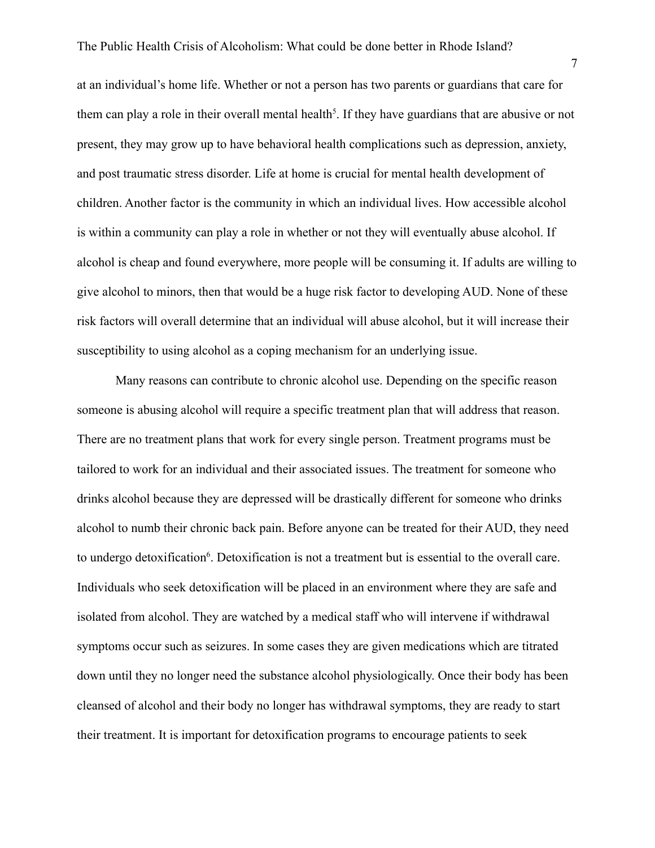at an individual's home life. Whether or not a person has two parents or guardians that care for them can play a role in their overall mental health<sup>5</sup>. If they have guardians that are abusive or not present, they may grow up to have behavioral health complications such as depression, anxiety, and post traumatic stress disorder. Life at home is crucial for mental health development of children. Another factor is the community in which an individual lives. How accessible alcohol is within a community can play a role in whether or not they will eventually abuse alcohol. If alcohol is cheap and found everywhere, more people will be consuming it. If adults are willing to give alcohol to minors, then that would be a huge risk factor to developing AUD. None of these risk factors will overall determine that an individual will abuse alcohol, but it will increase their susceptibility to using alcohol as a coping mechanism for an underlying issue.

Many reasons can contribute to chronic alcohol use. Depending on the specific reason someone is abusing alcohol will require a specific treatment plan that will address that reason. There are no treatment plans that work for every single person. Treatment programs must be tailored to work for an individual and their associated issues. The treatment for someone who drinks alcohol because they are depressed will be drastically different for someone who drinks alcohol to numb their chronic back pain. Before anyone can be treated for their AUD, they need to undergo detoxification<sup>6</sup>. Detoxification is not a treatment but is essential to the overall care. Individuals who seek detoxification will be placed in an environment where they are safe and isolated from alcohol. They are watched by a medical staff who will intervene if withdrawal symptoms occur such as seizures. In some cases they are given medications which are titrated down until they no longer need the substance alcohol physiologically. Once their body has been cleansed of alcohol and their body no longer has withdrawal symptoms, they are ready to start their treatment. It is important for detoxification programs to encourage patients to seek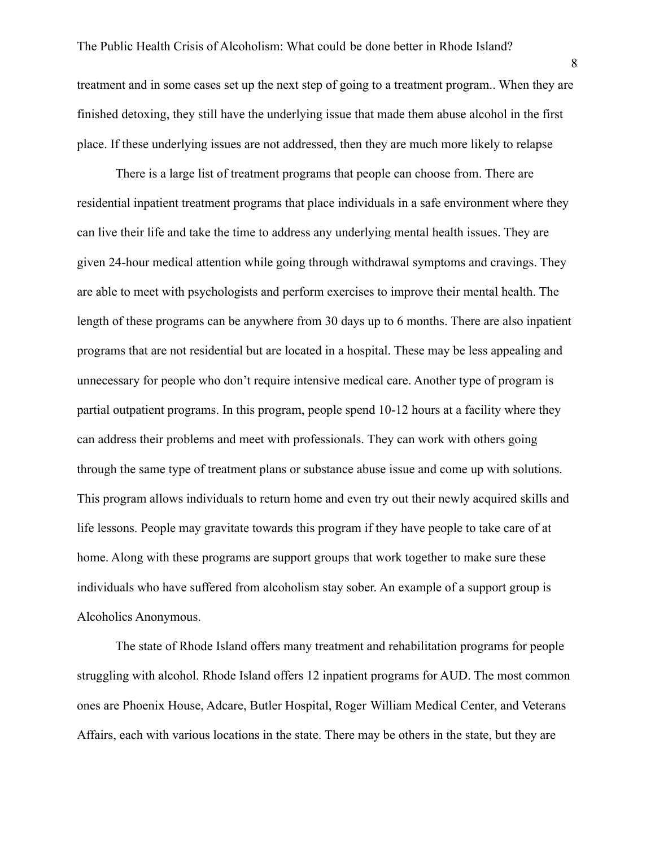treatment and in some cases set up the next step of going to a treatment program.. When they are finished detoxing, they still have the underlying issue that made them abuse alcohol in the first place. If these underlying issues are not addressed, then they are much more likely to relapse

There is a large list of treatment programs that people can choose from. There are residential inpatient treatment programs that place individuals in a safe environment where they can live their life and take the time to address any underlying mental health issues. They are given 24-hour medical attention while going through withdrawal symptoms and cravings. They are able to meet with psychologists and perform exercises to improve their mental health. The length of these programs can be anywhere from 30 days up to 6 months. There are also inpatient programs that are not residential but are located in a hospital. These may be less appealing and unnecessary for people who don't require intensive medical care. Another type of program is partial outpatient programs. In this program, people spend 10-12 hours at a facility where they can address their problems and meet with professionals. They can work with others going through the same type of treatment plans or substance abuse issue and come up with solutions. This program allows individuals to return home and even try out their newly acquired skills and life lessons. People may gravitate towards this program if they have people to take care of at home. Along with these programs are support groups that work together to make sure these individuals who have suffered from alcoholism stay sober. An example of a support group is Alcoholics Anonymous.

The state of Rhode Island offers many treatment and rehabilitation programs for people struggling with alcohol. Rhode Island offers 12 inpatient programs for AUD. The most common ones are Phoenix House, Adcare, Butler Hospital, Roger William Medical Center, and Veterans Affairs, each with various locations in the state. There may be others in the state, but they are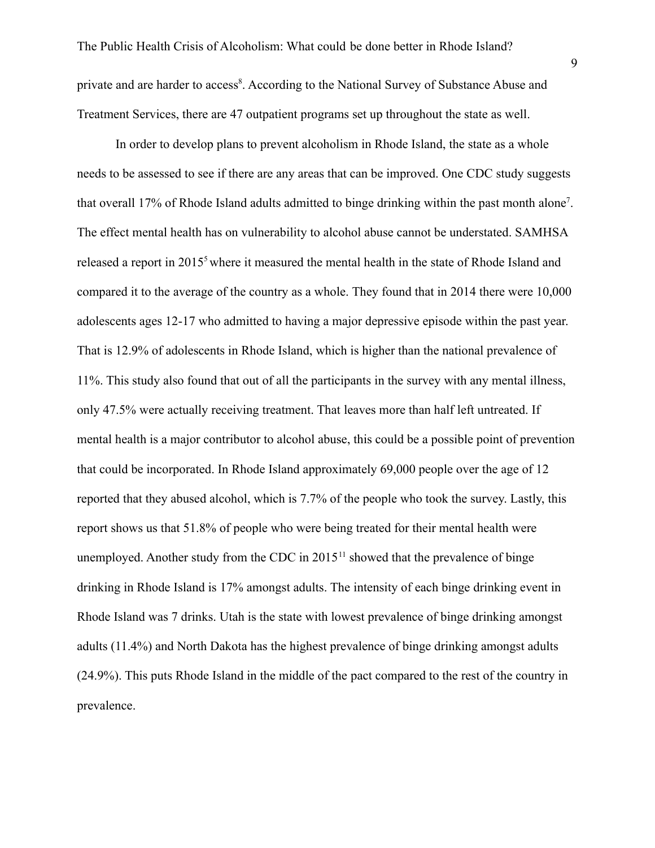private and are harder to access<sup>8</sup>. According to the National Survey of Substance Abuse and Treatment Services, there are 47 outpatient programs set up throughout the state as well.

In order to develop plans to prevent alcoholism in Rhode Island, the state as a whole needs to be assessed to see if there are any areas that can be improved. One CDC study suggests that overall 17% of Rhode Island adults admitted to binge drinking within the past month alone<sup>7</sup>. The effect mental health has on vulnerability to alcohol abuse cannot be understated. SAMHSA released a report in 2015<sup>5</sup> where it measured the mental health in the state of Rhode Island and compared it to the average of the country as a whole. They found that in 2014 there were 10,000 adolescents ages 12-17 who admitted to having a major depressive episode within the past year. That is 12.9% of adolescents in Rhode Island, which is higher than the national prevalence of 11%. This study also found that out of all the participants in the survey with any mental illness, only 47.5% were actually receiving treatment. That leaves more than half left untreated. If mental health is a major contributor to alcohol abuse, this could be a possible point of prevention that could be incorporated. In Rhode Island approximately 69,000 people over the age of 12 reported that they abused alcohol, which is 7.7% of the people who took the survey. Lastly, this report shows us that 51.8% of people who were being treated for their mental health were unemployed. Another study from the CDC in  $2015<sup>11</sup>$  showed that the prevalence of binge drinking in Rhode Island is 17% amongst adults. The intensity of each binge drinking event in Rhode Island was 7 drinks. Utah is the state with lowest prevalence of binge drinking amongst adults (11.4%) and North Dakota has the highest prevalence of binge drinking amongst adults (24.9%). This puts Rhode Island in the middle of the pact compared to the rest of the country in prevalence.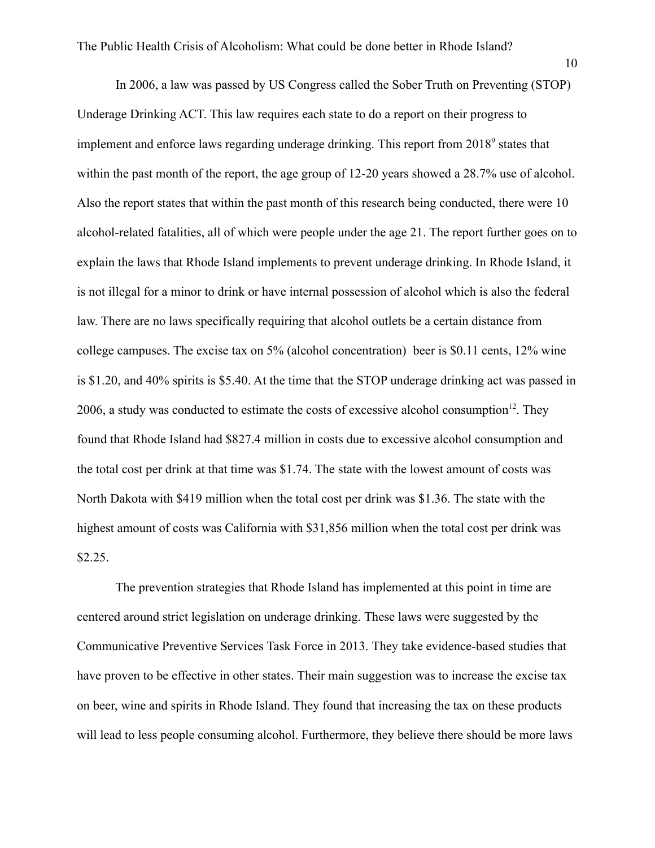In 2006, a law was passed by US Congress called the Sober Truth on Preventing (STOP) Underage Drinking ACT. This law requires each state to do a report on their progress to implement and enforce laws regarding underage drinking. This report from 2018<sup>9</sup> states that within the past month of the report, the age group of 12-20 years showed a 28.7% use of alcohol. Also the report states that within the past month of this research being conducted, there were 10 alcohol-related fatalities, all of which were people under the age 21. The report further goes on to explain the laws that Rhode Island implements to prevent underage drinking. In Rhode Island, it is not illegal for a minor to drink or have internal possession of alcohol which is also the federal law. There are no laws specifically requiring that alcohol outlets be a certain distance from college campuses. The excise tax on 5% (alcohol concentration) beer is \$0.11 cents, 12% wine is \$1.20, and 40% spirits is \$5.40. At the time that the STOP underage drinking act was passed in 2006, a study was conducted to estimate the costs of excessive alcohol consumption $12$ . They found that Rhode Island had \$827.4 million in costs due to excessive alcohol consumption and the total cost per drink at that time was \$1.74. The state with the lowest amount of costs was North Dakota with \$419 million when the total cost per drink was \$1.36. The state with the highest amount of costs was California with \$31,856 million when the total cost per drink was \$2.25.

The prevention strategies that Rhode Island has implemented at this point in time are centered around strict legislation on underage drinking. These laws were suggested by the Communicative Preventive Services Task Force in 2013. They take evidence-based studies that have proven to be effective in other states. Their main suggestion was to increase the excise tax on beer, wine and spirits in Rhode Island. They found that increasing the tax on these products will lead to less people consuming alcohol. Furthermore, they believe there should be more laws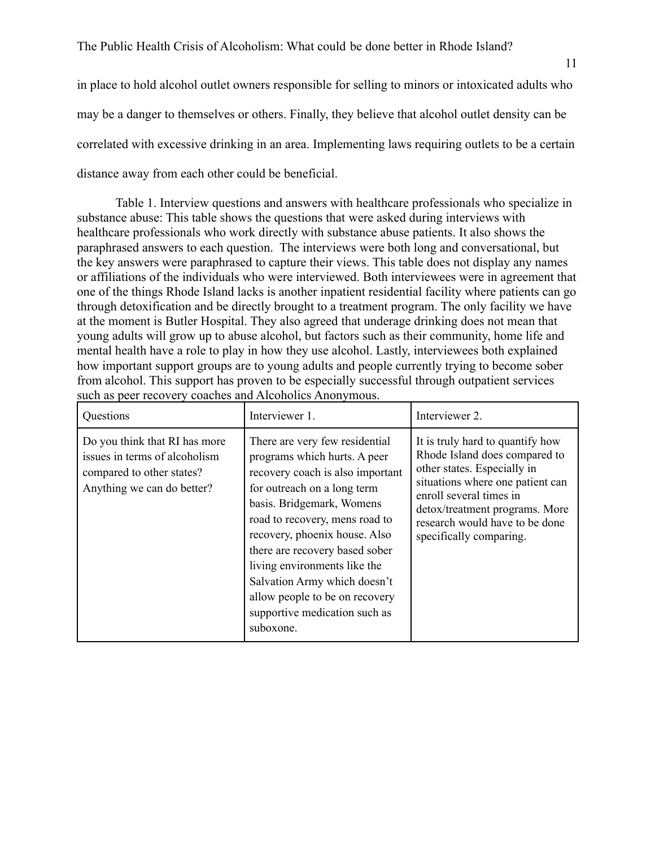in place to hold alcohol outlet owners responsible for selling to minors or intoxicated adults who may be a danger to themselves or others. Finally, they believe that alcohol outlet density can be correlated with excessive drinking in an area. Implementing laws requiring outlets to be a certain distance away from each other could be beneficial.

Table 1. Interview questions and answers with healthcare professionals who specialize in substance abuse: This table shows the questions that were asked during interviews with healthcare professionals who work directly with substance abuse patients. It also shows the paraphrased answers to each question. The interviews were both long and conversational, but the key answers were paraphrased to capture their views. This table does not display any names or affiliations of the individuals who were interviewed. Both interviewees were in agreement that one of the things Rhode Island lacks is another inpatient residential facility where patients can go through detoxification and be directly brought to a treatment program. The only facility we have at the moment is Butler Hospital. They also agreed that underage drinking does not mean that young adults will grow up to abuse alcohol, but factors such as their community, home life and mental health have a role to play in how they use alcohol. Lastly, interviewees both explained how important support groups are to young adults and people currently trying to become sober from alcohol. This support has proven to be especially successful through outpatient services such as peer recovery coaches and Alcoholics Anonymous.

| Questions                                                                                                                 | Interviewer 1.                                                                                                                                                                                                                                                                                                                                                                                                      | Interviewer 2.                                                                                                                                                                                                                                                 |
|---------------------------------------------------------------------------------------------------------------------------|---------------------------------------------------------------------------------------------------------------------------------------------------------------------------------------------------------------------------------------------------------------------------------------------------------------------------------------------------------------------------------------------------------------------|----------------------------------------------------------------------------------------------------------------------------------------------------------------------------------------------------------------------------------------------------------------|
| Do you think that RI has more<br>issues in terms of alcoholism<br>compared to other states?<br>Anything we can do better? | There are very few residential<br>programs which hurts. A peer<br>recovery coach is also important<br>for outreach on a long term<br>basis. Bridgemark, Womens<br>road to recovery, mens road to<br>recovery, phoenix house. Also<br>there are recovery based sober<br>living environments like the<br>Salvation Army which doesn't<br>allow people to be on recovery<br>supportive medication such as<br>suboxone. | It is truly hard to quantify how<br>Rhode Island does compared to<br>other states. Especially in<br>situations where one patient can<br>enroll several times in<br>detox/treatment programs. More<br>research would have to be done<br>specifically comparing. |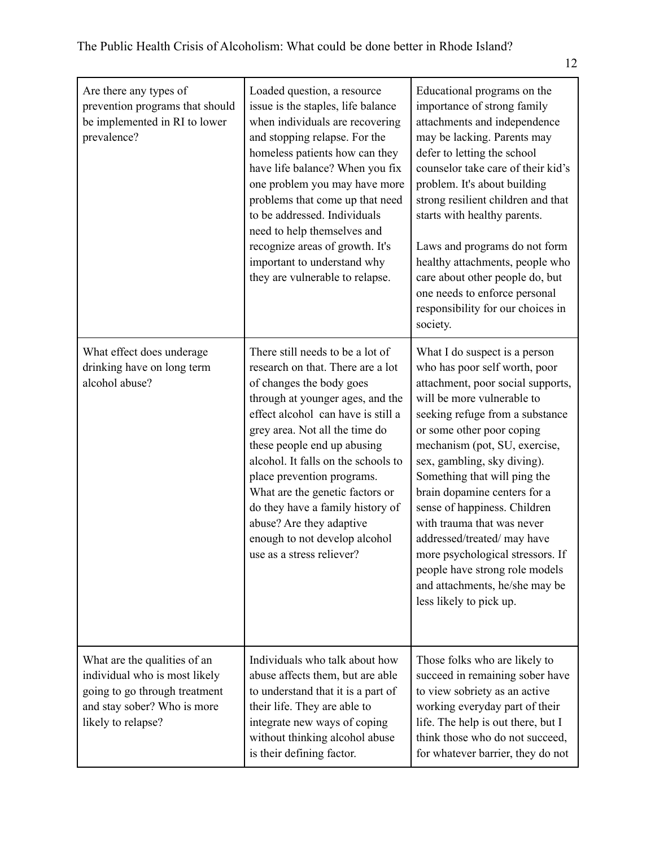| Are there any types of<br>prevention programs that should<br>be implemented in RI to lower<br>prevalence?                                           | Loaded question, a resource<br>issue is the staples, life balance<br>when individuals are recovering<br>and stopping relapse. For the<br>homeless patients how can they<br>have life balance? When you fix<br>one problem you may have more<br>problems that come up that need<br>to be addressed. Individuals<br>need to help themselves and<br>recognize areas of growth. It's<br>important to understand why<br>they are vulnerable to relapse.                                 | Educational programs on the<br>importance of strong family<br>attachments and independence<br>may be lacking. Parents may<br>defer to letting the school<br>counselor take care of their kid's<br>problem. It's about building<br>strong resilient children and that<br>starts with healthy parents.<br>Laws and programs do not form<br>healthy attachments, people who<br>care about other people do, but<br>one needs to enforce personal<br>responsibility for our choices in<br>society.                                                                     |
|-----------------------------------------------------------------------------------------------------------------------------------------------------|------------------------------------------------------------------------------------------------------------------------------------------------------------------------------------------------------------------------------------------------------------------------------------------------------------------------------------------------------------------------------------------------------------------------------------------------------------------------------------|-------------------------------------------------------------------------------------------------------------------------------------------------------------------------------------------------------------------------------------------------------------------------------------------------------------------------------------------------------------------------------------------------------------------------------------------------------------------------------------------------------------------------------------------------------------------|
| What effect does underage<br>drinking have on long term<br>alcohol abuse?                                                                           | There still needs to be a lot of<br>research on that. There are a lot<br>of changes the body goes<br>through at younger ages, and the<br>effect alcohol can have is still a<br>grey area. Not all the time do<br>these people end up abusing<br>alcohol. It falls on the schools to<br>place prevention programs.<br>What are the genetic factors or<br>do they have a family history of<br>abuse? Are they adaptive<br>enough to not develop alcohol<br>use as a stress reliever? | What I do suspect is a person<br>who has poor self worth, poor<br>attachment, poor social supports,<br>will be more vulnerable to<br>seeking refuge from a substance<br>or some other poor coping<br>mechanism (pot, SU, exercise,<br>sex, gambling, sky diving).<br>Something that will ping the<br>brain dopamine centers for a<br>sense of happiness. Children<br>with trauma that was never<br>addressed/treated/ may have<br>more psychological stressors. If<br>people have strong role models<br>and attachments, he/she may be<br>less likely to pick up. |
| What are the qualities of an<br>individual who is most likely<br>going to go through treatment<br>and stay sober? Who is more<br>likely to relapse? | Individuals who talk about how<br>abuse affects them, but are able<br>to understand that it is a part of<br>their life. They are able to<br>integrate new ways of coping<br>without thinking alcohol abuse<br>is their defining factor.                                                                                                                                                                                                                                            | Those folks who are likely to<br>succeed in remaining sober have<br>to view sobriety as an active<br>working everyday part of their<br>life. The help is out there, but I<br>think those who do not succeed,<br>for whatever barrier, they do not                                                                                                                                                                                                                                                                                                                 |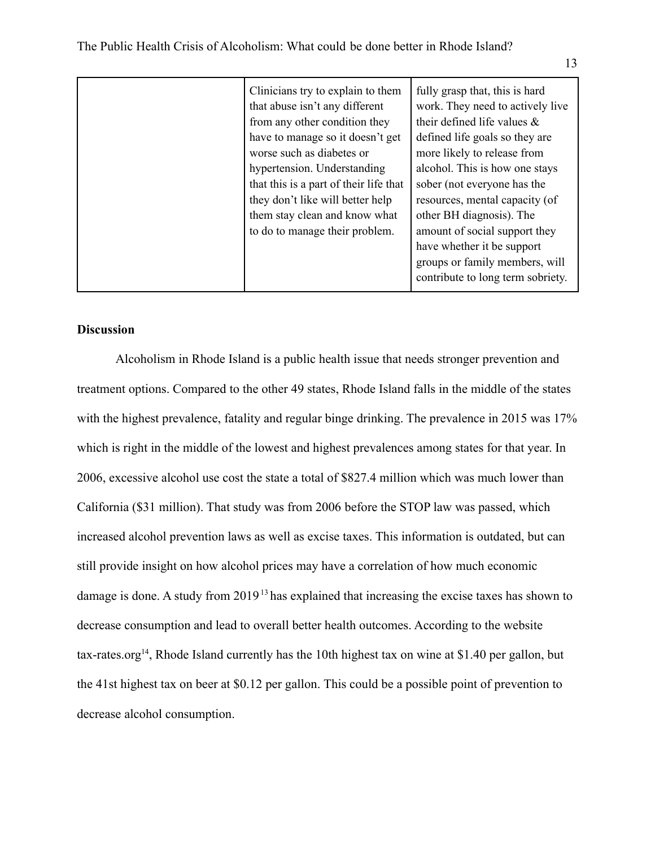| Clinicians try to explain to them      | fully grasp that, this is hard    |
|----------------------------------------|-----------------------------------|
| that abuse isn't any different         | work. They need to actively live  |
| from any other condition they          | their defined life values $\&$    |
| have to manage so it doesn't get       | defined life goals so they are    |
| worse such as diabetes or              | more likely to release from       |
| hypertension. Understanding            | alcohol. This is how one stays    |
| that this is a part of their life that | sober (not everyone has the       |
| they don't like will better help       | resources, mental capacity (of    |
| them stay clean and know what          | other BH diagnosis). The          |
| to do to manage their problem.         | amount of social support they     |
|                                        | have whether it be support        |
|                                        | groups or family members, will    |
|                                        | contribute to long term sobriety. |
|                                        |                                   |

# **Discussion**

Alcoholism in Rhode Island is a public health issue that needs stronger prevention and treatment options. Compared to the other 49 states, Rhode Island falls in the middle of the states with the highest prevalence, fatality and regular binge drinking. The prevalence in 2015 was 17% which is right in the middle of the lowest and highest prevalences among states for that year. In 2006, excessive alcohol use cost the state a total of \$827.4 million which was much lower than California (\$31 million). That study was from 2006 before the STOP law was passed, which increased alcohol prevention laws as well as excise taxes. This information is outdated, but can still provide insight on how alcohol prices may have a correlation of how much economic damage is done. A study from 2019<sup>13</sup> has explained that increasing the excise taxes has shown to decrease consumption and lead to overall better health outcomes. According to the website tax-rates.org<sup>14</sup>, Rhode Island currently has the 10th highest tax on wine at \$1.40 per gallon, but the 41st highest tax on beer at \$0.12 per gallon. This could be a possible point of prevention to decrease alcohol consumption.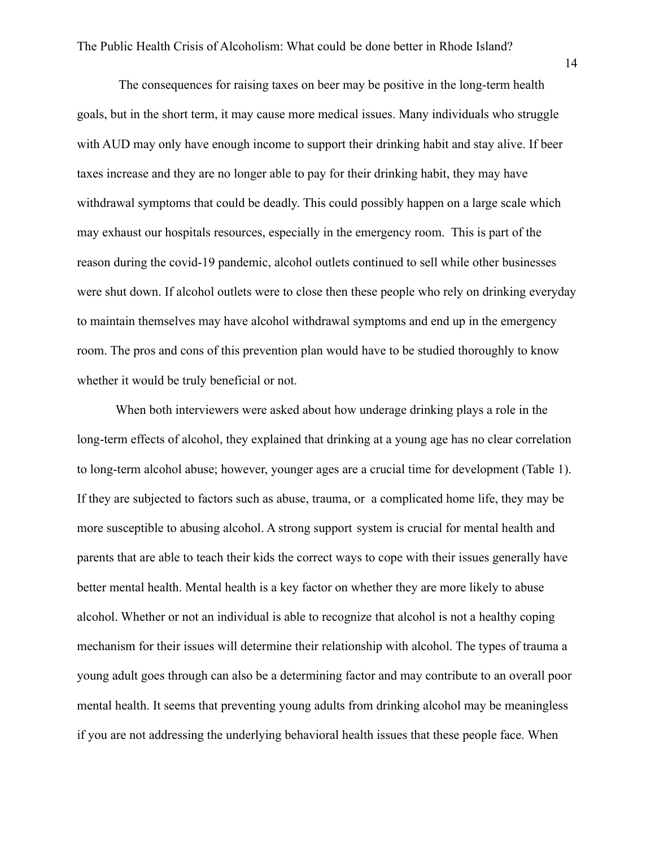The consequences for raising taxes on beer may be positive in the long-term health goals, but in the short term, it may cause more medical issues. Many individuals who struggle with AUD may only have enough income to support their drinking habit and stay alive. If beer taxes increase and they are no longer able to pay for their drinking habit, they may have withdrawal symptoms that could be deadly. This could possibly happen on a large scale which may exhaust our hospitals resources, especially in the emergency room. This is part of the reason during the covid-19 pandemic, alcohol outlets continued to sell while other businesses were shut down. If alcohol outlets were to close then these people who rely on drinking everyday to maintain themselves may have alcohol withdrawal symptoms and end up in the emergency room. The pros and cons of this prevention plan would have to be studied thoroughly to know whether it would be truly beneficial or not.

When both interviewers were asked about how underage drinking plays a role in the long-term effects of alcohol, they explained that drinking at a young age has no clear correlation to long-term alcohol abuse; however, younger ages are a crucial time for development (Table 1). If they are subjected to factors such as abuse, trauma, or a complicated home life, they may be more susceptible to abusing alcohol. A strong support system is crucial for mental health and parents that are able to teach their kids the correct ways to cope with their issues generally have better mental health. Mental health is a key factor on whether they are more likely to abuse alcohol. Whether or not an individual is able to recognize that alcohol is not a healthy coping mechanism for their issues will determine their relationship with alcohol. The types of trauma a young adult goes through can also be a determining factor and may contribute to an overall poor mental health. It seems that preventing young adults from drinking alcohol may be meaningless if you are not addressing the underlying behavioral health issues that these people face. When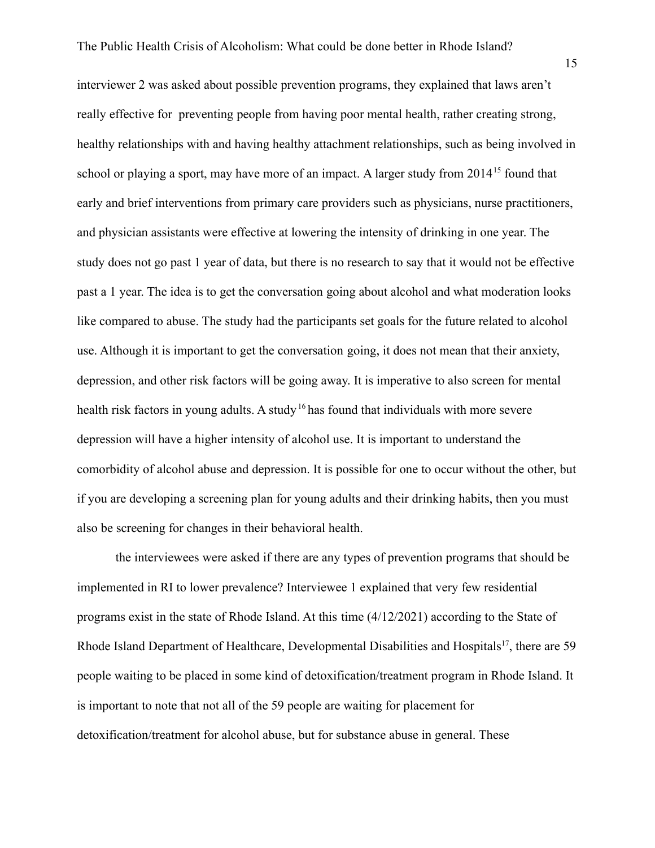interviewer 2 was asked about possible prevention programs, they explained that laws aren't really effective for preventing people from having poor mental health, rather creating strong, healthy relationships with and having healthy attachment relationships, such as being involved in school or playing a sport, may have more of an impact. A larger study from 2014<sup>15</sup> found that early and brief interventions from primary care providers such as physicians, nurse practitioners, and physician assistants were effective at lowering the intensity of drinking in one year. The study does not go past 1 year of data, but there is no research to say that it would not be effective past a 1 year. The idea is to get the conversation going about alcohol and what moderation looks like compared to abuse. The study had the participants set goals for the future related to alcohol use. Although it is important to get the conversation going, it does not mean that their anxiety, depression, and other risk factors will be going away. It is imperative to also screen for mental health risk factors in young adults. A study<sup>16</sup> has found that individuals with more severe depression will have a higher intensity of alcohol use. It is important to understand the comorbidity of alcohol abuse and depression. It is possible for one to occur without the other, but if you are developing a screening plan for young adults and their drinking habits, then you must also be screening for changes in their behavioral health.

the interviewees were asked if there are any types of prevention programs that should be implemented in RI to lower prevalence? Interviewee 1 explained that very few residential programs exist in the state of Rhode Island. At this time (4/12/2021) according to the State of Rhode Island Department of Healthcare, Developmental Disabilities and Hospitals<sup>17</sup>, there are 59 people waiting to be placed in some kind of detoxification/treatment program in Rhode Island. It is important to note that not all of the 59 people are waiting for placement for detoxification/treatment for alcohol abuse, but for substance abuse in general. These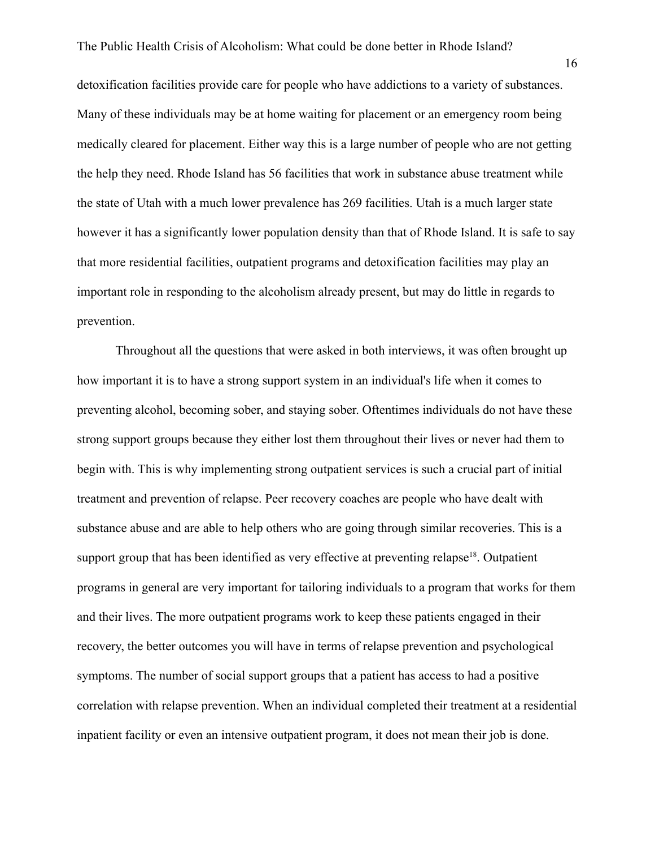detoxification facilities provide care for people who have addictions to a variety of substances. Many of these individuals may be at home waiting for placement or an emergency room being medically cleared for placement. Either way this is a large number of people who are not getting the help they need. Rhode Island has 56 facilities that work in substance abuse treatment while the state of Utah with a much lower prevalence has 269 facilities. Utah is a much larger state however it has a significantly lower population density than that of Rhode Island. It is safe to say that more residential facilities, outpatient programs and detoxification facilities may play an important role in responding to the alcoholism already present, but may do little in regards to prevention.

Throughout all the questions that were asked in both interviews, it was often brought up how important it is to have a strong support system in an individual's life when it comes to preventing alcohol, becoming sober, and staying sober. Oftentimes individuals do not have these strong support groups because they either lost them throughout their lives or never had them to begin with. This is why implementing strong outpatient services is such a crucial part of initial treatment and prevention of relapse. Peer recovery coaches are people who have dealt with substance abuse and are able to help others who are going through similar recoveries. This is a support group that has been identified as very effective at preventing relapse<sup>18</sup>. Outpatient programs in general are very important for tailoring individuals to a program that works for them and their lives. The more outpatient programs work to keep these patients engaged in their recovery, the better outcomes you will have in terms of relapse prevention and psychological symptoms. The number of social support groups that a patient has access to had a positive correlation with relapse prevention. When an individual completed their treatment at a residential inpatient facility or even an intensive outpatient program, it does not mean their job is done.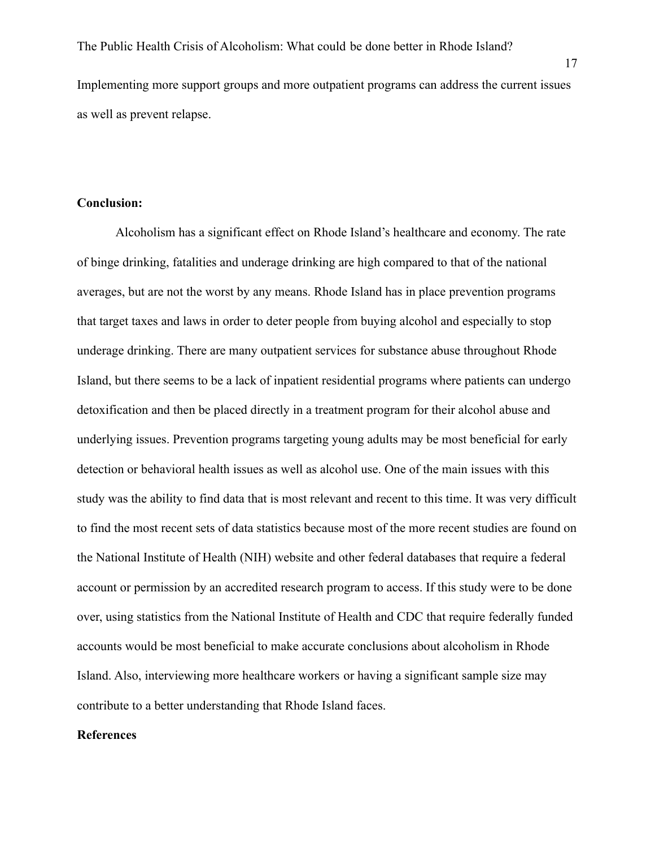Implementing more support groups and more outpatient programs can address the current issues as well as prevent relapse.

# **Conclusion:**

Alcoholism has a significant effect on Rhode Island's healthcare and economy. The rate of binge drinking, fatalities and underage drinking are high compared to that of the national averages, but are not the worst by any means. Rhode Island has in place prevention programs that target taxes and laws in order to deter people from buying alcohol and especially to stop underage drinking. There are many outpatient services for substance abuse throughout Rhode Island, but there seems to be a lack of inpatient residential programs where patients can undergo detoxification and then be placed directly in a treatment program for their alcohol abuse and underlying issues. Prevention programs targeting young adults may be most beneficial for early detection or behavioral health issues as well as alcohol use. One of the main issues with this study was the ability to find data that is most relevant and recent to this time. It was very difficult to find the most recent sets of data statistics because most of the more recent studies are found on the National Institute of Health (NIH) website and other federal databases that require a federal account or permission by an accredited research program to access. If this study were to be done over, using statistics from the National Institute of Health and CDC that require federally funded accounts would be most beneficial to make accurate conclusions about alcoholism in Rhode Island. Also, interviewing more healthcare workers or having a significant sample size may contribute to a better understanding that Rhode Island faces.

#### **References**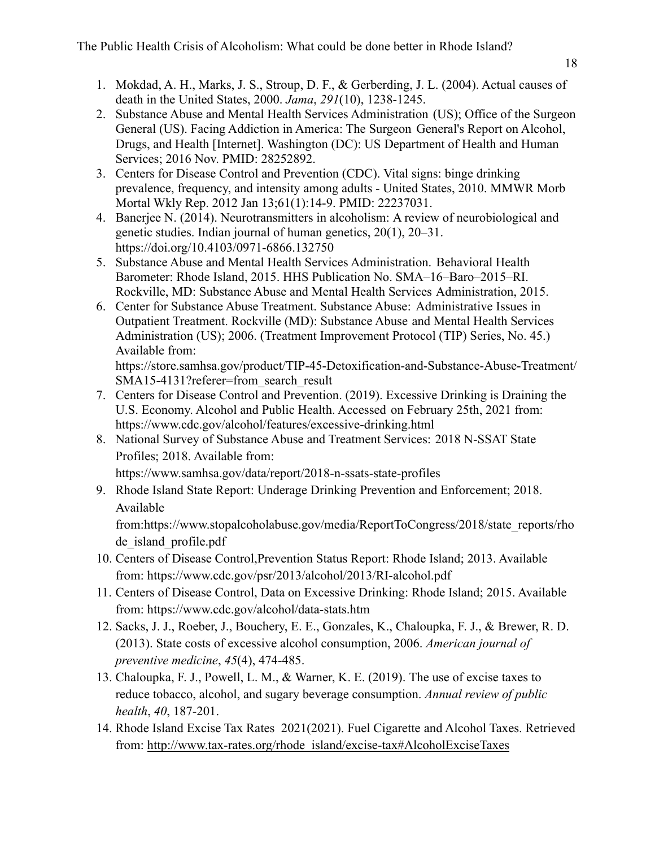- 1. Mokdad, A. H., Marks, J. S., Stroup, D. F., & Gerberding, J. L. (2004). Actual causes of death in the United States, 2000. *Jama*, *291*(10), 1238-1245.
- 2. Substance Abuse and Mental Health Services Administration (US); Office of the Surgeon General (US). Facing Addiction in America: The Surgeon General's Report on Alcohol, Drugs, and Health [Internet]. Washington (DC): US Department of Health and Human Services; 2016 Nov. PMID: 28252892.
- 3. Centers for Disease Control and Prevention (CDC). Vital signs: binge drinking prevalence, frequency, and intensity among adults - United States, 2010. MMWR Morb Mortal Wkly Rep. 2012 Jan 13;61(1):14-9. PMID: 22237031.
- 4. Banerjee N. (2014). Neurotransmitters in alcoholism: A review of neurobiological and genetic studies. Indian journal of human genetics, 20(1), 20–31. <https://doi.org/10.4103/0971-6866.132750>
- 5. Substance Abuse and Mental Health Services Administration. Behavioral Health Barometer: Rhode Island, 2015. HHS Publication No. SMA–16–Baro–2015–RI. Rockville, MD: Substance Abuse and Mental Health Services Administration, 2015.
- 6. Center for Substance Abuse Treatment. Substance Abuse: Administrative Issues in Outpatient Treatment. Rockville (MD): Substance Abuse and Mental Health Services Administration (US); 2006. (Treatment Improvement Protocol (TIP) Series, No. 45.) Available from[:](https://www.ncbi.nlm.nih.gov/books/NBK64075/)

[https://store.samhsa.gov/product/TIP-45-Detoxification-and-Substance-Abuse-Treatment/](https://store.samhsa.gov/product/TIP-45-Detoxification-and-Substance-Abuse-Treatment/SMA15-4131?referer=from_search_result) [SMA15-4131?referer=from\\_search\\_result](https://store.samhsa.gov/product/TIP-45-Detoxification-and-Substance-Abuse-Treatment/SMA15-4131?referer=from_search_result)

- 7. Centers for Disease Control and Prevention. (2019). Excessive Drinking is Draining the U.S. Economy. Alcohol and Public Health. Accessed on February 25th, 2021 from: <https://www.cdc.gov/alcohol/features/excessive-drinking.html>
- 8. National Survey of Substance Abuse and Treatment Services: 2018 N-SSAT State Profiles; 2018. Available from:

https://www.samhsa.gov/data/report/2018-n-ssats-state-profiles

9. Rhode Island State Report: Underage Drinking Prevention and Enforcement; 2018. Available

from:https://www.stopalcoholabuse.gov/media/ReportToCongress/2018/state\_reports/rho de island profile.pdf

- 10. Centers of Disease Control,Prevention Status Report: Rhode Island; 2013. Available from: https://www.cdc.gov/psr/2013/alcohol/2013/RI-alcohol.pdf
- 11. Centers of Disease Control, Data on Excessive Drinking: Rhode Island; 2015. Available from: https://www.cdc.gov/alcohol/data-stats.htm
- 12. Sacks, J. J., Roeber, J., Bouchery, E. E., Gonzales, K., Chaloupka, F. J., & Brewer, R. D. (2013). State costs of excessive alcohol consumption, 2006. *American journal of preventive medicine*, *45*(4), 474-485.
- 13. Chaloupka, F. J., Powell, L. M., & Warner, K. E. (2019). The use of excise taxes to reduce tobacco, alcohol, and sugary beverage consumption. *Annual review of public health*, *40*, 187-201.
- 14. Rhode Island Excise Tax Rates 2021(2021). Fuel Cigarette and Alcohol Taxes. Retrieved from: [http://www.tax-rates.org/rhode\\_island/excise-tax#AlcoholExciseTaxes](http://www.tax-rates.org/rhode_island/excise-tax#AlcoholExciseTaxes)